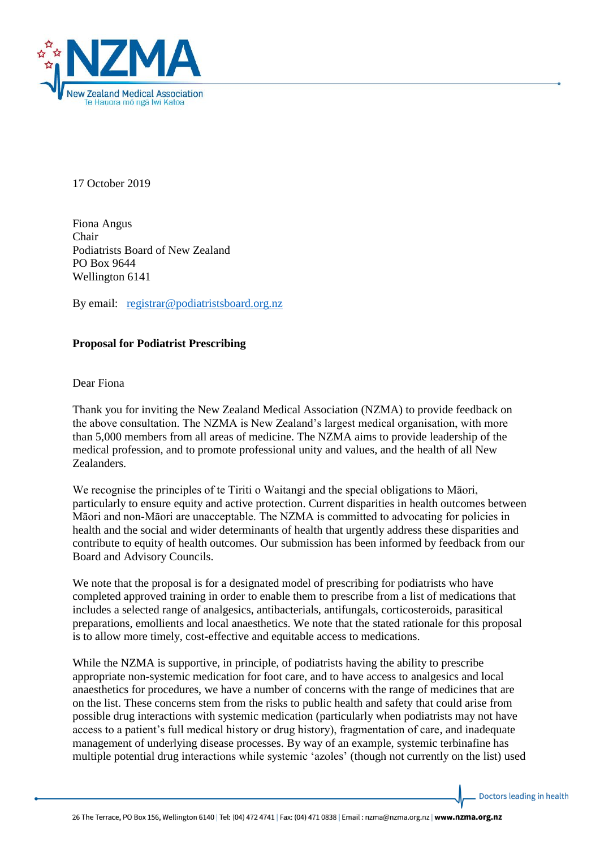

17 October 2019

Fiona Angus Chair Podiatrists Board of New Zealand PO Box 9644 Wellington 6141

By email: [registrar@podiatristsboard.org.nz](mailto:registrar@podiatristsboard.org.nz)

## **Proposal for Podiatrist Prescribing**

Dear Fiona

Thank you for inviting the New Zealand Medical Association (NZMA) to provide feedback on the above consultation. The NZMA is New Zealand's largest medical organisation, with more than 5,000 members from all areas of medicine. The NZMA aims to provide leadership of the medical profession, and to promote professional unity and values, and the health of all New Zealanders.

We recognise the principles of te Tiriti o Waitangi and the special obligations to Māori, particularly to ensure equity and active protection. Current disparities in health outcomes between Māori and non-Māori are unacceptable. The NZMA is committed to advocating for policies in health and the social and wider determinants of health that urgently address these disparities and contribute to equity of health outcomes. Our submission has been informed by feedback from our Board and Advisory Councils.

We note that the proposal is for a designated model of prescribing for podiatrists who have completed approved training in order to enable them to prescribe from a list of medications that includes a selected range of analgesics, antibacterials, antifungals, corticosteroids, parasitical preparations, emollients and local anaesthetics. We note that the stated rationale for this proposal is to allow more timely, cost-effective and equitable access to medications.

While the NZMA is supportive, in principle, of podiatrists having the ability to prescribe appropriate non-systemic medication for foot care, and to have access to analgesics and local anaesthetics for procedures, we have a number of concerns with the range of medicines that are on the list. These concerns stem from the risks to public health and safety that could arise from possible drug interactions with systemic medication (particularly when podiatrists may not have access to a patient's full medical history or drug history), fragmentation of care, and inadequate management of underlying disease processes. By way of an example, systemic terbinafine has multiple potential drug interactions while systemic 'azoles' (though not currently on the list) used

Doctors leading in health